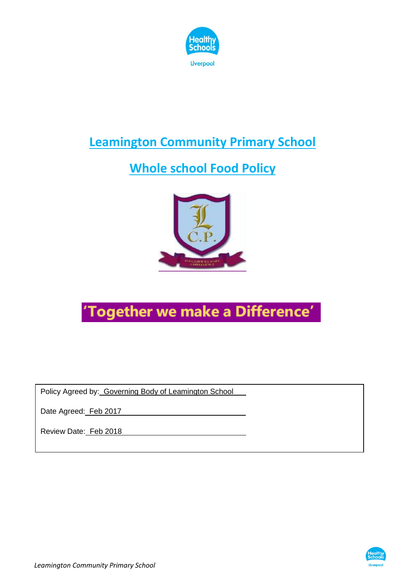

#### **Leamington Community Primary School**

#### **Whole school Food Policy**



# 'Together we make a Difference'

Policy Agreed by: Governing Body of Leamington School

Date Agreed: Feb 2017

Review Date: Feb 2018

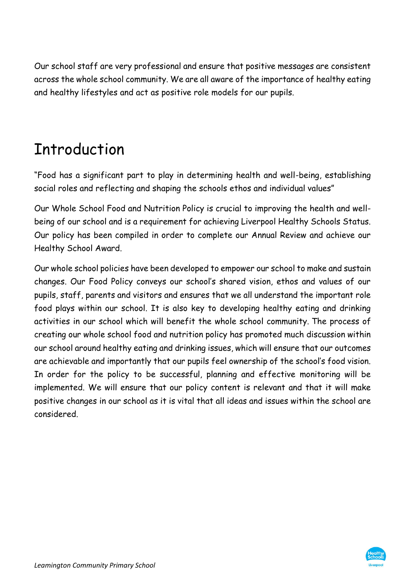Our school staff are very professional and ensure that positive messages are consistent across the whole school community. We are all aware of the importance of healthy eating and healthy lifestyles and act as positive role models for our pupils.

# Introduction

"Food has a significant part to play in determining health and well-being, establishing social roles and reflecting and shaping the schools ethos and individual values"

Our Whole School Food and Nutrition Policy is crucial to improving the health and wellbeing of our school and is a requirement for achieving Liverpool Healthy Schools Status. Our policy has been compiled in order to complete our Annual Review and achieve our Healthy School Award.

Our whole school policies have been developed to empower our school to make and sustain changes. Our Food Policy conveys our school's shared vision, ethos and values of our pupils, staff, parents and visitors and ensures that we all understand the important role food plays within our school. It is also key to developing healthy eating and drinking activities in our school which will benefit the whole school community. The process of creating our whole school food and nutrition policy has promoted much discussion within our school around healthy eating and drinking issues, which will ensure that our outcomes are achievable and importantly that our pupils feel ownership of the school's food vision. In order for the policy to be successful, planning and effective monitoring will be implemented. We will ensure that our policy content is relevant and that it will make positive changes in our school as it is vital that all ideas and issues within the school are considered.

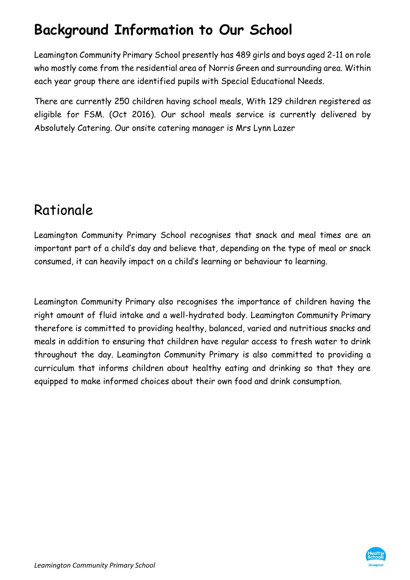### **Background Information to Our School**

Leamington Community Primary School presently has 489 girls and boys aged 2-11 on role who mostly come from the residential area of Norris Green and surrounding area. Within each year group there are identified pupils with Special Educational Needs.

There are currently 250 children having school meals, With 129 children registered as eligible for FSM. (Oct 2016). Our school meals service is currently delivered by Absolutely Catering. Our onsite catering manager is Mrs Lynn Lazer

#### Rationale

Leamington Community Primary School recognises that snack and meal times are an important part of a child's day and believe that, depending on the type of meal or snack consumed, it can heavily impact on a child's learning or behaviour to learning.

Leamington Community Primary also recognises the importance of children having the right amount of fluid intake and a well-hydrated body. Leamington Community Primary therefore is committed to providing healthy, balanced, varied and nutritious snacks and meals in addition to ensuring that children have regular access to fresh water to drink throughout the day. Leamington Community Primary is also committed to providing a curriculum that informs children about healthy eating and drinking so that they are equipped to make informed choices about their own food and drink consumption.

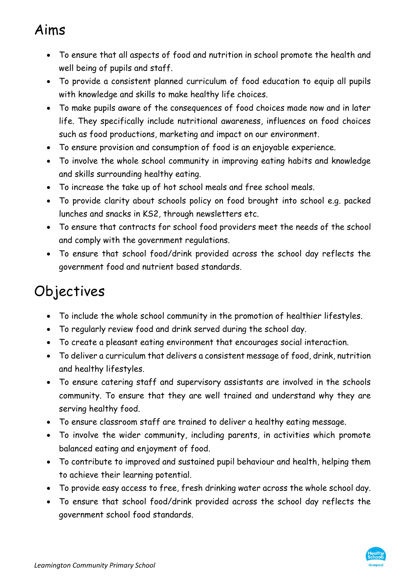#### Aims

- To ensure that all aspects of food and nutrition in school promote the health and well being of pupils and staff.
- To provide a consistent planned curriculum of food education to equip all pupils with knowledge and skills to make healthy life choices.
- To make pupils aware of the consequences of food choices made now and in later life. They specifically include nutritional awareness, influences on food choices such as food productions, marketing and impact on our environment.
- To ensure provision and consumption of food is an enjoyable experience.
- To involve the whole school community in improving eating habits and knowledge and skills surrounding healthy eating.
- To increase the take up of hot school meals and free school meals.
- To provide clarity about schools policy on food brought into school e.g. packed lunches and snacks in KS2, through newsletters etc.
- To ensure that contracts for school food providers meet the needs of the school and comply with the government regulations.
- To ensure that school food/drink provided across the school day reflects the government food and nutrient based standards.

# Objectives

- To include the whole school community in the promotion of healthier lifestyles.
- To regularly review food and drink served during the school day.
- To create a pleasant eating environment that encourages social interaction.
- To deliver a curriculum that delivers a consistent message of food, drink, nutrition and healthy lifestyles.
- To ensure catering staff and supervisory assistants are involved in the schools community. To ensure that they are well trained and understand why they are serving healthy food.
- To ensure classroom staff are trained to deliver a healthy eating message.
- To involve the wider community, including parents, in activities which promote balanced eating and enjoyment of food.
- To contribute to improved and sustained pupil behaviour and health, helping them to achieve their learning potential.
- To provide easy access to free, fresh drinking water across the whole school day.
- To ensure that school food/drink provided across the school day reflects the government school food standards.

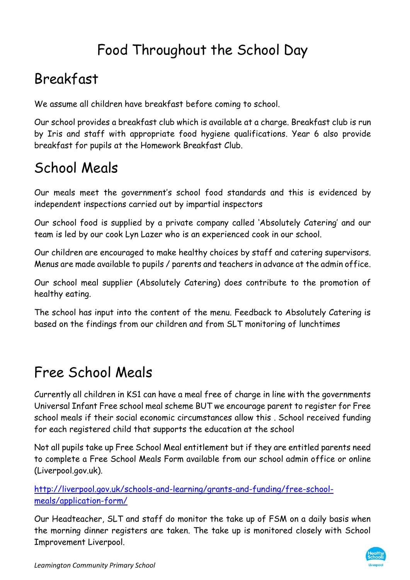### Food Throughout the School Day

#### Breakfast

We assume all children have breakfast before coming to school.

Our school provides a breakfast club which is available at a charge. Breakfast club is run by Iris and staff with appropriate food hygiene qualifications. Year 6 also provide breakfast for pupils at the Homework Breakfast Club.

### School Meals

Our meals meet the government's school food standards and this is evidenced by independent inspections carried out by impartial inspectors

Our school food is supplied by a private company called 'Absolutely Catering' and our team is led by our cook Lyn Lazer who is an experienced cook in our school.

Our children are encouraged to make healthy choices by staff and catering supervisors. Menus are made available to pupils / parents and teachers in advance at the admin office.

Our school meal supplier (Absolutely Catering) does contribute to the promotion of healthy eating.

The school has input into the content of the menu. Feedback to Absolutely Catering is based on the findings from our children and from SLT monitoring of lunchtimes

### Free School Meals

Currently all children in KS1 can have a meal free of charge in line with the governments Universal Infant Free school meal scheme BUT we encourage parent to register for Free school meals if their social economic circumstances allow this . School received funding for each registered child that supports the education at the school

Not all pupils take up Free School Meal entitlement but if they are entitled parents need to complete a Free School Meals Form available from our school admin office or online (Liverpool.gov.uk).

[http://liverpool.gov.uk/schools-and-learning/grants-and-funding/free-school](http://liverpool.gov.uk/schools-and-learning/grants-and-funding/free-school-meals/application-form/)[meals/application-form/](http://liverpool.gov.uk/schools-and-learning/grants-and-funding/free-school-meals/application-form/)

Our Headteacher, SLT and staff do monitor the take up of FSM on a daily basis when the morning dinner registers are taken. The take up is monitored closely with School Improvement Liverpool.

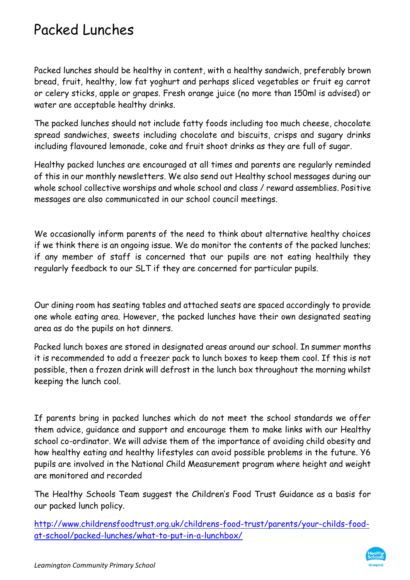#### Packed Lunches

Packed lunches should be healthy in content, with a healthy sandwich, preferably brown bread, fruit, healthy, low fat yoghurt and perhaps sliced vegetables or fruit eg carrot or celery sticks, apple or grapes. Fresh orange juice (no more than 150ml is advised) or water are acceptable healthy drinks.

The packed lunches should not include fatty foods including too much cheese, chocolate spread sandwiches, sweets including chocolate and biscuits, crisps and sugary drinks including flavoured lemonade, coke and fruit shoot drinks as they are full of sugar.

Healthy packed lunches are encouraged at all times and parents are regularly reminded of this in our monthly newsletters. We also send out Healthy school messages during our whole school collective worships and whole school and class / reward assemblies. Positive messages are also communicated in our school council meetings.

We occasionally inform parents of the need to think about alternative healthy choices if we think there is an ongoing issue. We do monitor the contents of the packed lunches; if any member of staff is concerned that our pupils are not eating healthily they regularly feedback to our SLT if they are concerned for particular pupils.

Our dining room has seating tables and attached seats are spaced accordingly to provide one whole eating area. However, the packed lunches have their own designated seating area as do the pupils on hot dinners.

Packed lunch boxes are stored in designated areas around our school. In summer months it is recommended to add a freezer pack to lunch boxes to keep them cool. If this is not possible, then a frozen drink will defrost in the lunch box throughout the morning whilst keeping the lunch cool.

If parents bring in packed lunches which do not meet the school standards we offer them advice, guidance and support and encourage them to make links with our Healthy school co-ordinator. We will advise them of the importance of avoiding child obesity and how healthy eating and healthy lifestyles can avoid possible problems in the future. Y6 pupils are involved in the National Child Measurement program where height and weight are monitored and recorded

The Healthy Schools Team suggest the Children's Food Trust Guidance as a basis for our packed lunch policy.

[http://www.childrensfoodtrust.org.uk/childrens-food-trust/parents/your-childs-food](http://www.childrensfoodtrust.org.uk/childrens-food-trust/parents/your-childs-food-at-school/packed-lunches/what-to-put-in-a-lunchbox/)[at-school/packed-lunches/what-to-put-in-a-lunchbox/](http://www.childrensfoodtrust.org.uk/childrens-food-trust/parents/your-childs-food-at-school/packed-lunches/what-to-put-in-a-lunchbox/)

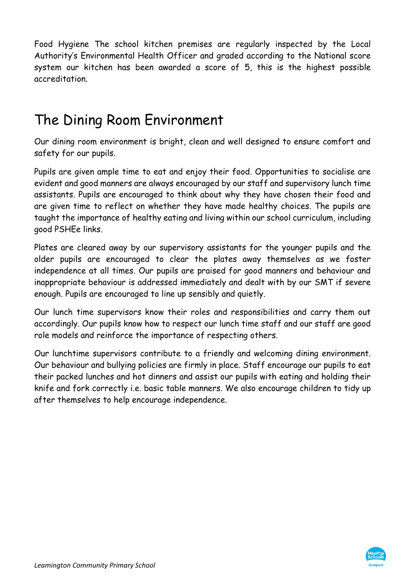Food Hygiene The school kitchen premises are regularly inspected by the Local Authority's Environmental Health Officer and graded according to the National score system our kitchen has been awarded a score of 5, this is the highest possible accreditation.

### The Dining Room Environment

Our dining room environment is bright, clean and well designed to ensure comfort and safety for our pupils.

Pupils are given ample time to eat and enjoy their food. Opportunities to socialise are evident and good manners are always encouraged by our staff and supervisory lunch time assistants. Pupils are encouraged to think about why they have chosen their food and are given time to reflect on whether they have made healthy choices. The pupils are taught the importance of healthy eating and living within our school curriculum, including good PSHEe links.

Plates are cleared away by our supervisory assistants for the younger pupils and the older pupils are encouraged to clear the plates away themselves as we foster independence at all times. Our pupils are praised for good manners and behaviour and inappropriate behaviour is addressed immediately and dealt with by our SMT if severe enough. Pupils are encouraged to line up sensibly and quietly.

Our lunch time supervisors know their roles and responsibilities and carry them out accordingly. Our pupils know how to respect our lunch time staff and our staff are good role models and reinforce the importance of respecting others.

Our lunchtime supervisors contribute to a friendly and welcoming dining environment. Our behaviour and bullying policies are firmly in place. Staff encourage our pupils to eat their packed lunches and hot dinners and assist our pupils with eating and holding their knife and fork correctly i.e. basic table manners. We also encourage children to tidy up after themselves to help encourage independence.

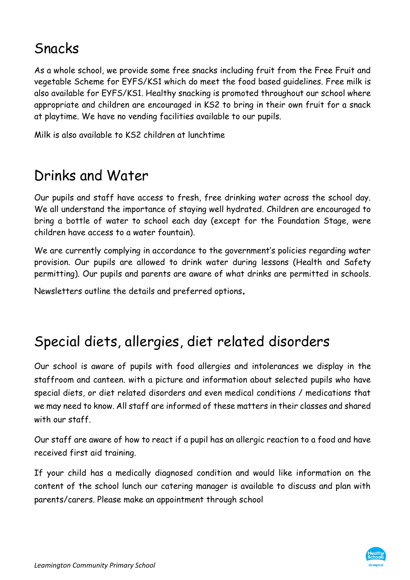#### Snacks

As a whole school, we provide some free snacks including fruit from the Free Fruit and vegetable Scheme for EYFS/KS1 which do meet the food based guidelines. Free milk is also available for EYFS/KS1. Healthy snacking is promoted throughout our school where appropriate and children are encouraged in KS2 to bring in their own fruit for a snack at playtime. We have no vending facilities available to our pupils.

Milk is also available to KS2 children at lunchtime

#### Drinks and Water

Our pupils and staff have access to fresh, free drinking water across the school day. We all understand the importance of staying well hydrated. Children are encouraged to bring a bottle of water to school each day (except for the Foundation Stage, were children have access to a water fountain).

We are currently complying in accordance to the government's policies regarding water provision. Our pupils are allowed to drink water during lessons (Health and Safety permitting). Our pupils and parents are aware of what drinks are permitted in schools.

Newsletters outline the details and preferred options.

#### Special diets, allergies, diet related disorders

Our school is aware of pupils with food allergies and intolerances we display in the staffroom and canteen. with a picture and information about selected pupils who have special diets, or diet related disorders and even medical conditions / medications that we may need to know. All staff are informed of these matters in their classes and shared with our staff.

Our staff are aware of how to react if a pupil has an allergic reaction to a food and have received first aid training.

If your child has a medically diagnosed condition and would like information on the content of the school lunch our catering manager is available to discuss and plan with parents/carers. Please make an appointment through school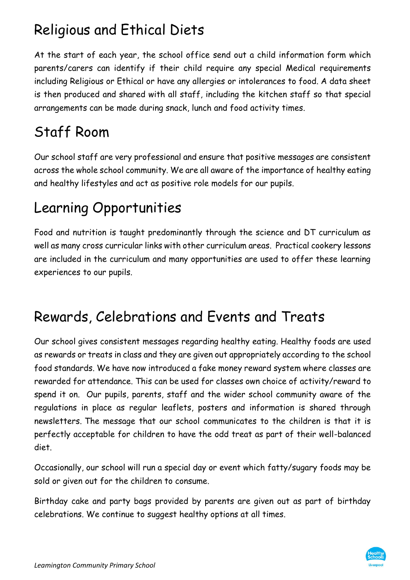## Religious and Ethical Diets

At the start of each year, the school office send out a child information form which parents/carers can identify if their child require any special Medical requirements including Religious or Ethical or have any allergies or intolerances to food. A data sheet is then produced and shared with all staff, including the kitchen staff so that special arrangements can be made during snack, lunch and food activity times.

# Staff Room

Our school staff are very professional and ensure that positive messages are consistent across the whole school community. We are all aware of the importance of healthy eating and healthy lifestyles and act as positive role models for our pupils.

### Learning Opportunities

Food and nutrition is taught predominantly through the science and DT curriculum as well as many cross curricular links with other curriculum areas. Practical cookery lessons are included in the curriculum and many opportunities are used to offer these learning experiences to our pupils.

### Rewards, Celebrations and Events and Treats

Our school gives consistent messages regarding healthy eating. Healthy foods are used as rewards or treats in class and they are given out appropriately according to the school food standards. We have now introduced a fake money reward system where classes are rewarded for attendance. This can be used for classes own choice of activity/reward to spend it on. Our pupils, parents, staff and the wider school community aware of the regulations in place as regular leaflets, posters and information is shared through newsletters. The message that our school communicates to the children is that it is perfectly acceptable for children to have the odd treat as part of their well-balanced diet.

Occasionally, our school will run a special day or event which fatty/sugary foods may be sold or given out for the children to consume.

Birthday cake and party bags provided by parents are given out as part of birthday celebrations. We continue to suggest healthy options at all times.

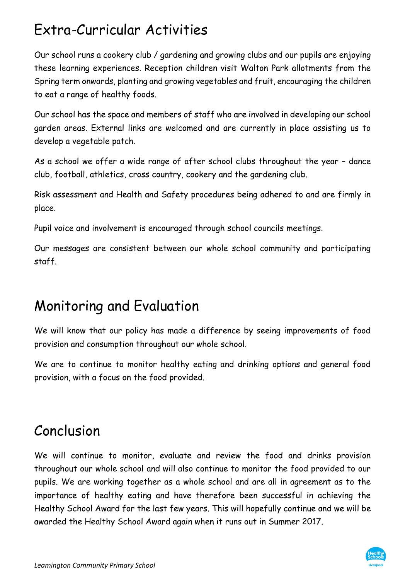### Extra-Curricular Activities

Our school runs a cookery club / gardening and growing clubs and our pupils are enjoying these learning experiences. Reception children visit Walton Park allotments from the Spring term onwards, planting and growing vegetables and fruit, encouraging the children to eat a range of healthy foods.

Our school has the space and members of staff who are involved in developing our school garden areas. External links are welcomed and are currently in place assisting us to develop a vegetable patch.

As a school we offer a wide range of after school clubs throughout the year – dance club, football, athletics, cross country, cookery and the gardening club.

Risk assessment and Health and Safety procedures being adhered to and are firmly in place.

Pupil voice and involvement is encouraged through school councils meetings.

Our messages are consistent between our whole school community and participating staff.

### Monitoring and Evaluation

We will know that our policy has made a difference by seeing improvements of food provision and consumption throughout our whole school.

We are to continue to monitor healthy eating and drinking options and general food provision, with a focus on the food provided.

#### Conclusion

We will continue to monitor, evaluate and review the food and drinks provision throughout our whole school and will also continue to monitor the food provided to our pupils. We are working together as a whole school and are all in agreement as to the importance of healthy eating and have therefore been successful in achieving the Healthy School Award for the last few years. This will hopefully continue and we will be awarded the Healthy School Award again when it runs out in Summer 2017.